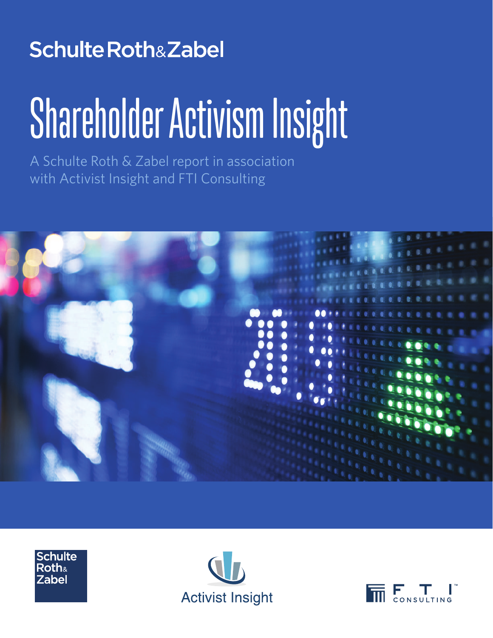### **Schulte Roth&Zabel**

# Shareholder Activism Insight

A Schulte Roth & Zabel report in association with Activist Insight and FTI Consulting







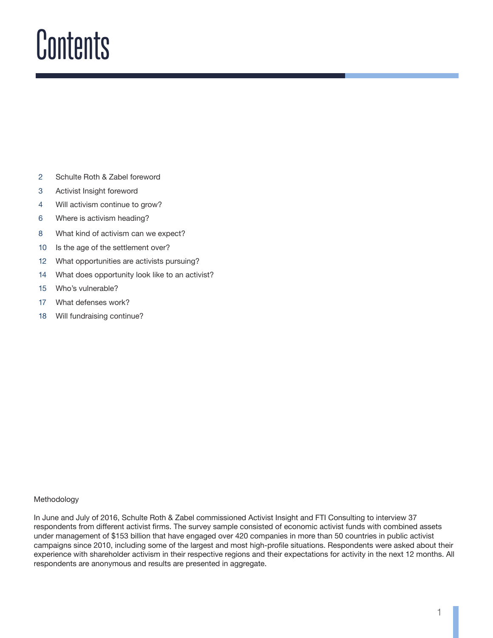### Contents

- 2 Schulte Roth & Zabel foreword
- 3 Activist Insight foreword
- 4 Will activism continue to grow?
- 6 Where is activism heading?
- 8 What kind of activism can we expect?
- 10 Is the age of the settlement over?
- 12 What opportunities are activists pursuing?
- 14 What does opportunity look like to an activist?
- 15 Who's vulnerable?
- 17 What defenses work?
- 18 Will fundraising continue?

#### Methodology

In June and July of 2016, Schulte Roth & Zabel commissioned Activist Insight and FTI Consulting to interview 37 respondents from different activist firms. The survey sample consisted of economic activist funds with combined assets under management of \$153 billion that have engaged over 420 companies in more than 50 countries in public activist campaigns since 2010, including some of the largest and most high-profile situations. Respondents were asked about their experience with shareholder activism in their respective regions and their expectations for activity in the next 12 months. All respondents are anonymous and results are presented in aggregate.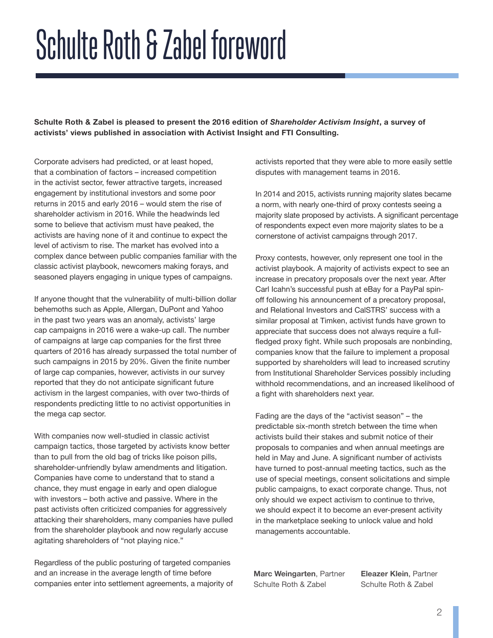### Schulte Roth & Zabel foreword

**Schulte Roth & Zabel is pleased to present the 2016 edition of** *Shareholder Activism Insight***, a survey of activists' views published in association with Activist Insight and FTI Consulting.** 

Corporate advisers had predicted, or at least hoped, that a combination of factors – increased competition in the activist sector, fewer attractive targets, increased engagement by institutional investors and some poor returns in 2015 and early 2016 – would stem the rise of shareholder activism in 2016. While the headwinds led some to believe that activism must have peaked, the activists are having none of it and continue to expect the level of activism to rise. The market has evolved into a complex dance between public companies familiar with the classic activist playbook, newcomers making forays, and seasoned players engaging in unique types of campaigns.

If anyone thought that the vulnerability of multi-billion dollar behemoths such as Apple, Allergan, DuPont and Yahoo in the past two years was an anomaly, activists' large cap campaigns in 2016 were a wake-up call. The number of campaigns at large cap companies for the first three quarters of 2016 has already surpassed the total number of such campaigns in 2015 by 20%. Given the finite number of large cap companies, however, activists in our survey reported that they do not anticipate significant future activism in the largest companies, with over two-thirds of respondents predicting little to no activist opportunities in the mega cap sector.

With companies now well-studied in classic activist campaign tactics, those targeted by activists know better than to pull from the old bag of tricks like poison pills, shareholder-unfriendly bylaw amendments and litigation. Companies have come to understand that to stand a chance, they must engage in early and open dialogue with investors – both active and passive. Where in the past activists often criticized companies for aggressively attacking their shareholders, many companies have pulled from the shareholder playbook and now regularly accuse agitating shareholders of "not playing nice."

Regardless of the public posturing of targeted companies and an increase in the average length of time before companies enter into settlement agreements, a majority of activists reported that they were able to more easily settle disputes with management teams in 2016.

In 2014 and 2015, activists running majority slates became a norm, with nearly one-third of proxy contests seeing a majority slate proposed by activists. A significant percentage of respondents expect even more majority slates to be a cornerstone of activist campaigns through 2017.

Proxy contests, however, only represent one tool in the activist playbook. A majority of activists expect to see an increase in precatory proposals over the next year. After Carl Icahn's successful push at eBay for a PayPal spinoff following his announcement of a precatory proposal, and Relational Investors and CalSTRS' success with a similar proposal at Timken, activist funds have grown to appreciate that success does not always require a fullfledged proxy fight. While such proposals are nonbinding, companies know that the failure to implement a proposal supported by shareholders will lead to increased scrutiny from Institutional Shareholder Services possibly including withhold recommendations, and an increased likelihood of a fight with shareholders next year.

Fading are the days of the "activist season" – the predictable six-month stretch between the time when activists build their stakes and submit notice of their proposals to companies and when annual meetings are held in May and June. A significant number of activists have turned to post-annual meeting tactics, such as the use of special meetings, consent solicitations and simple public campaigns, to exact corporate change. Thus, not only should we expect activism to continue to thrive, we should expect it to become an ever-present activity in the marketplace seeking to unlock value and hold managements accountable.

**Marc Weingarten**, Partner Schulte Roth & Zabel

**Eleazer Klein**, Partner Schulte Roth & Zabel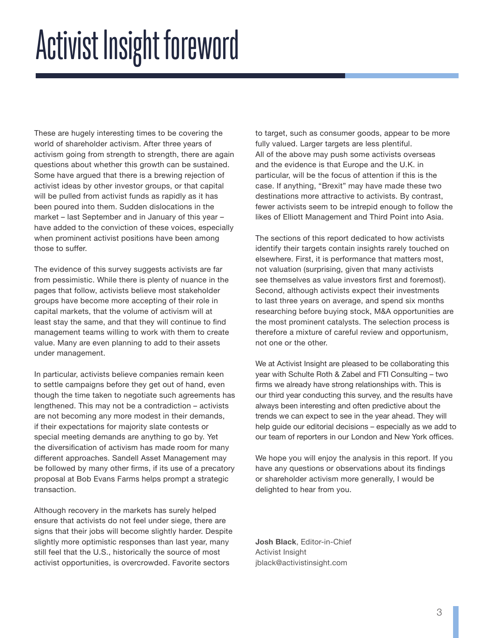## Activist Insight foreword

These are hugely interesting times to be covering the world of shareholder activism. After three years of activism going from strength to strength, there are again questions about whether this growth can be sustained. Some have argued that there is a brewing rejection of activist ideas by other investor groups, or that capital will be pulled from activist funds as rapidly as it has been poured into them. Sudden dislocations in the market – last September and in January of this year – have added to the conviction of these voices, especially when prominent activist positions have been among those to suffer.

The evidence of this survey suggests activists are far from pessimistic. While there is plenty of nuance in the pages that follow, activists believe most stakeholder groups have become more accepting of their role in capital markets, that the volume of activism will at least stay the same, and that they will continue to find management teams willing to work with them to create value. Many are even planning to add to their assets under management.

In particular, activists believe companies remain keen to settle campaigns before they get out of hand, even though the time taken to negotiate such agreements has lengthened. This may not be a contradiction – activists are not becoming any more modest in their demands, if their expectations for majority slate contests or special meeting demands are anything to go by. Yet the diversification of activism has made room for many different approaches. Sandell Asset Management may be followed by many other firms, if its use of a precatory proposal at Bob Evans Farms helps prompt a strategic transaction.

Although recovery in the markets has surely helped ensure that activists do not feel under siege, there are signs that their jobs will become slightly harder. Despite slightly more optimistic responses than last year, many still feel that the U.S., historically the source of most activist opportunities, is overcrowded. Favorite sectors

to target, such as consumer goods, appear to be more fully valued. Larger targets are less plentiful. All of the above may push some activists overseas and the evidence is that Europe and the U.K. in particular, will be the focus of attention if this is the case. If anything, "Brexit" may have made these two destinations more attractive to activists. By contrast, fewer activists seem to be intrepid enough to follow the likes of Elliott Management and Third Point into Asia.

The sections of this report dedicated to how activists identify their targets contain insights rarely touched on elsewhere. First, it is performance that matters most, not valuation (surprising, given that many activists see themselves as value investors first and foremost). Second, although activists expect their investments to last three years on average, and spend six months researching before buying stock, M&A opportunities are the most prominent catalysts. The selection process is therefore a mixture of careful review and opportunism, not one or the other.

We at Activist Insight are pleased to be collaborating this year with Schulte Roth & Zabel and FTI Consulting – two firms we already have strong relationships with. This is our third year conducting this survey, and the results have always been interesting and often predictive about the trends we can expect to see in the year ahead. They will help guide our editorial decisions – especially as we add to our team of reporters in our London and New York offices.

We hope you will enjoy the analysis in this report. If you have any questions or observations about its findings or shareholder activism more generally, I would be delighted to hear from you.

**Josh Black**, Editor-in-Chief Activist Insight jblack@activistinsight.com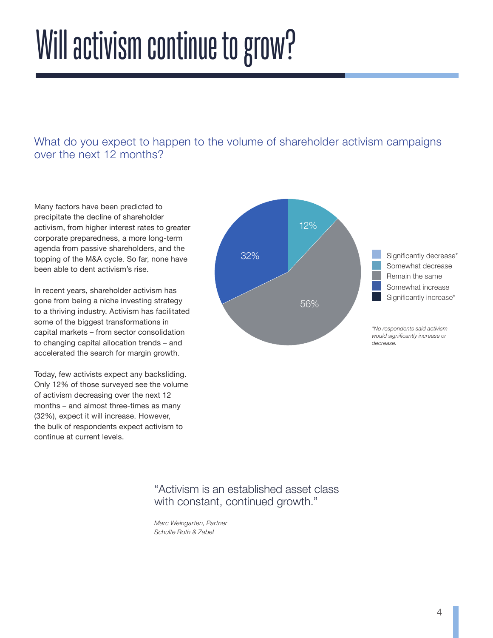### Will activism continue to grow?

What do you expect to happen to the volume of shareholder activism campaigns over the next 12 months?

Many factors have been predicted to precipitate the decline of shareholder activism, from higher interest rates to greater corporate preparedness, a more long-term agenda from passive shareholders, and the topping of the M&A cycle. So far, none have been able to dent activism's rise.

In recent years, shareholder activism has gone from being a niche investing strategy to a thriving industry. Activism has facilitated some of the biggest transformations in capital markets – from sector consolidation to changing capital allocation trends – and accelerated the search for margin growth.

Today, few activists expect any backsliding. Only 12% of those surveyed see the volume of activism decreasing over the next 12 months – and almost three-times as many (32%), expect it will increase. However, the bulk of respondents expect activism to continue at current levels.



#### "Activism is an established asset class with constant, continued growth."

*Marc Weingarten, Partner Schulte Roth & Zabel*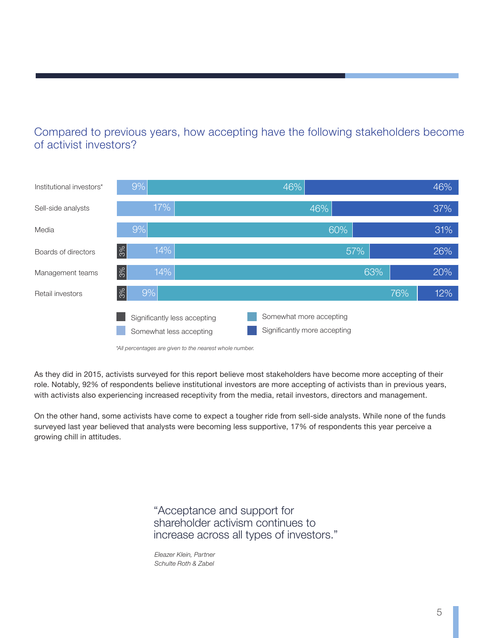#### Compared to previous years, how accepting have the following stakeholders become of activist investors?



*\*All percentages are given to the nearest whole number.*

As they did in 2015, activists surveyed for this report believe most stakeholders have become more accepting of their role. Notably, 92% of respondents believe institutional investors are more accepting of activists than in previous years, with activists also experiencing increased receptivity from the media, retail investors, directors and management.

On the other hand, some activists have come to expect a tougher ride from sell-side analysts. While none of the funds surveyed last year believed that analysts were becoming less supportive, 17% of respondents this year perceive a growing chill in attitudes.

> "Acceptance and support for shareholder activism continues to increase across all types of investors."

*Eleazer Klein, Partner Schulte Roth & Zabel*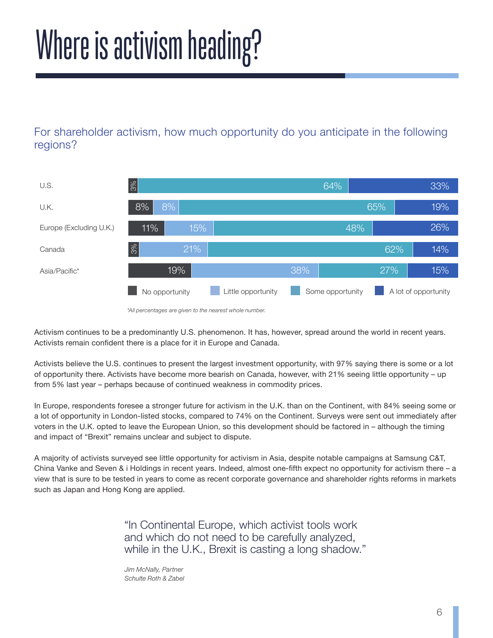## Where is activism heading?

For shareholder activism, how much opportunity do you anticipate in the following regions?



*<sup>\*</sup>All percentages are given to the nearest whole number.*

Activism continues to be a predominantly U.S. phenomenon. It has, however, spread around the world in recent years. Activists remain confident there is a place for it in Europe and Canada.

Activists believe the U.S. continues to present the largest investment opportunity, with 97% saying there is some or a lot of opportunity there. Activists have become more bearish on Canada, however, with 21% seeing little opportunity – up from 5% last year – perhaps because of continued weakness in commodity prices.

In Europe, respondents foresee a stronger future for activism in the U.K. than on the Continent, with 84% seeing some or a lot of opportunity in London-listed stocks, compared to 74% on the Continent. Surveys were sent out immediately after voters in the U.K. opted to leave the European Union, so this development should be factored in – although the timing and impact of "Brexit" remains unclear and subject to dispute.

A majority of activists surveyed see little opportunity for activism in Asia, despite notable campaigns at Samsung C&T, China Vanke and Seven & i Holdings in recent years. Indeed, almost one-fifth expect no opportunity for activism there – a view that is sure to be tested in years to come as recent corporate governance and shareholder rights reforms in markets such as Japan and Hong Kong are applied.

> "In Continental Europe, which activist tools work and which do not need to be carefully analyzed, while in the U.K., Brexit is casting a long shadow."

*Jim McNally, Partner Schulte Roth & Zabel*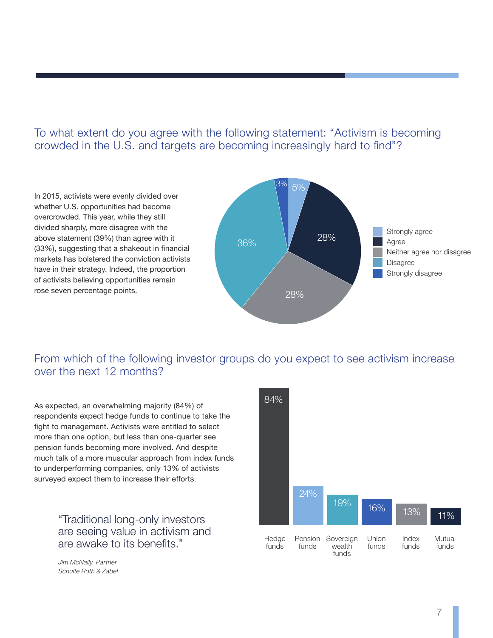To what extent do you agree with the following statement: "Activism is becoming crowded in the U.S. and targets are becoming increasingly hard to find"?

In 2015, activists were evenly divided over whether U.S. opportunities had become overcrowded. This year, while they still divided sharply, more disagree with the above statement (39%) than agree with it (33%), suggesting that a shakeout in financial markets has bolstered the conviction activists have in their strategy. Indeed, the proportion of activists believing opportunities remain rose seven percentage points.



From which of the following investor groups do you expect to see activism increase over the next 12 months?

As expected, an overwhelming majority (84%) of respondents expect hedge funds to continue to take the fight to management. Activists were entitled to select more than one option, but less than one-quarter see pension funds becoming more involved. And despite much talk of a more muscular approach from index funds to underperforming companies, only 13% of activists surveyed expect them to increase their efforts.

> "Traditional long-only investors are seeing value in activism and are awake to its benefits."

*Jim McNally, Partner Schulte Roth & Zabel*

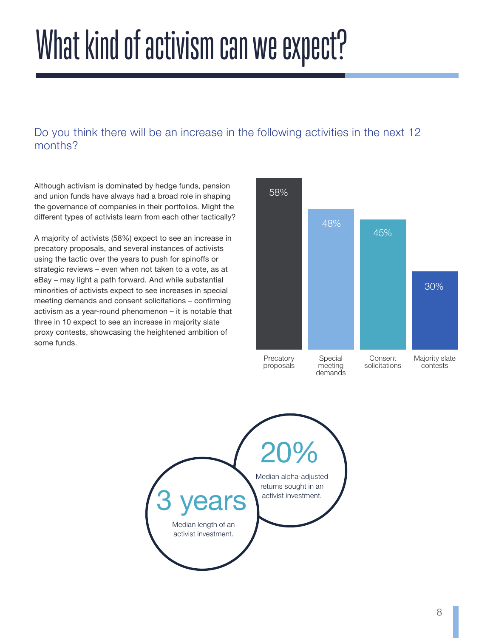## What kind of activism can we expect?

#### Do you think there will be an increase in the following activities in the next 12 months?

Although activism is dominated by hedge funds, pension and union funds have always had a broad role in shaping the governance of companies in their portfolios. Might the different types of activists learn from each other tactically?

A majority of activists (58%) expect to see an increase in precatory proposals, and several instances of activists using the tactic over the years to push for spinoffs or strategic reviews – even when not taken to a vote, as at eBay – may light a path forward. And while substantial minorities of activists expect to see increases in special meeting demands and consent solicitations – confirming activism as a year-round phenomenon – it is notable that three in 10 expect to see an increase in majority slate proxy contests, showcasing the heightened ambition of some funds.



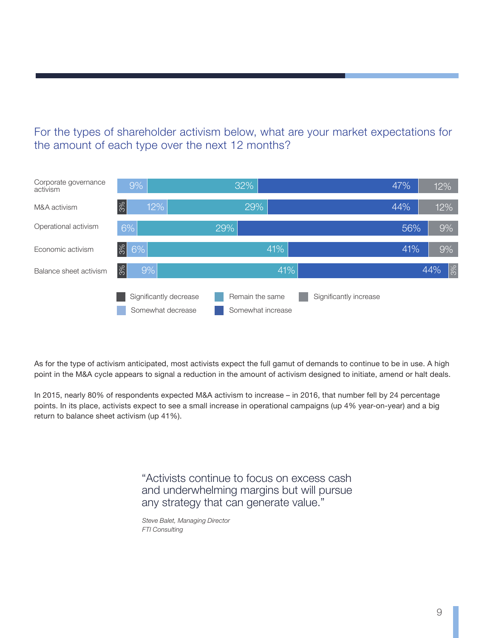#### For the types of shareholder activism below, what are your market expectations for the amount of each type over the next 12 months?



As for the type of activism anticipated, most activists expect the full gamut of demands to continue to be in use. A high point in the M&A cycle appears to signal a reduction in the amount of activism designed to initiate, amend or halt deals.

In 2015, nearly 80% of respondents expected M&A activism to increase – in 2016, that number fell by 24 percentage points. In its place, activists expect to see a small increase in operational campaigns (up 4% year-on-year) and a big return to balance sheet activism (up 41%).

> "Activists continue to focus on excess cash and underwhelming margins but will pursue any strategy that can generate value."

*Steve Balet, Managing Director FTI Consulting*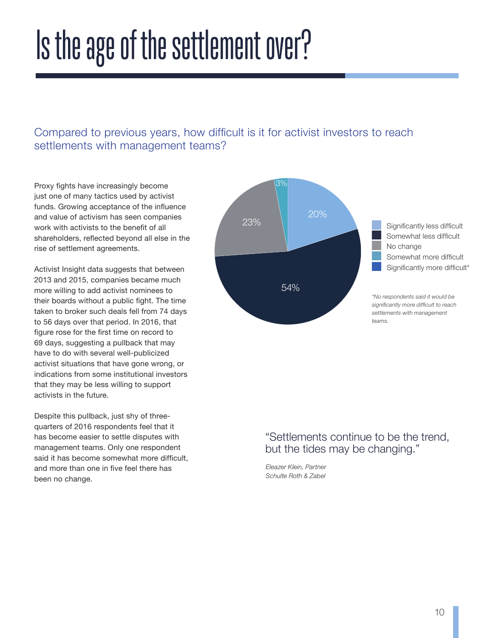### Is the age of the settlement over?

#### Compared to previous years, how difficult is it for activist investors to reach settlements with management teams?

Proxy fights have increasingly become just one of many tactics used by activist funds. Growing acceptance of the influence and value of activism has seen companies work with activists to the benefit of all shareholders, reflected beyond all else in the rise of settlement agreements.

Activist Insight data suggests that between 2013 and 2015, companies became much more willing to add activist nominees to their boards without a public fight. The time taken to broker such deals fell from 74 days to 56 days over that period. In 2016, that figure rose for the first time on record to 69 days, suggesting a pullback that may have to do with several well-publicized activist situations that have gone wrong, or indications from some institutional investors that they may be less willing to support activists in the future.

Despite this pullback, just shy of threequarters of 2016 respondents feel that it has become easier to settle disputes with management teams. Only one respondent said it has become somewhat more difficult, and more than one in five feel there has been no change.



#### "Settlements continue to be the trend, but the tides may be changing."

*Eleazer Klein, Partner Schulte Roth & Zabel*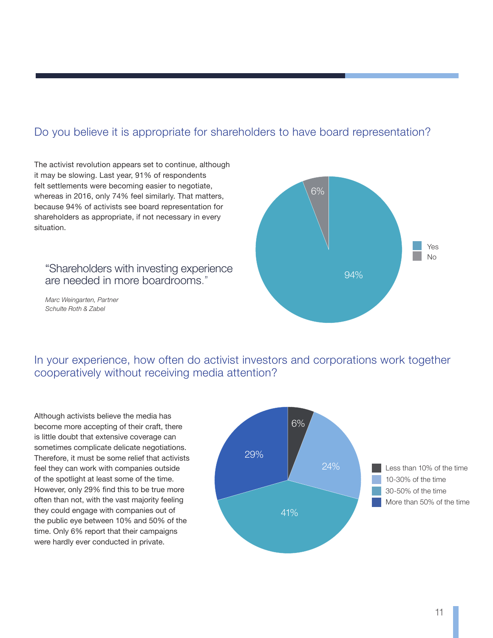#### Do you believe it is appropriate for shareholders to have board representation?

The activist revolution appears set to continue, although it may be slowing. Last year, 91% of respondents felt settlements were becoming easier to negotiate, whereas in 2016, only 74% feel similarly. That matters, because 94% of activists see board representation for shareholders as appropriate, if not necessary in every situation.

#### "Shareholders with investing experience are needed in more boardrooms."

*Marc Weingarten, Partner Schulte Roth & Zabel*



In your experience, how often do activist investors and corporations work together cooperatively without receiving media attention?

Although activists believe the media has become more accepting of their craft, there is little doubt that extensive coverage can sometimes complicate delicate negotiations. Therefore, it must be some relief that activists feel they can work with companies outside of the spotlight at least some of the time. However, only 29% find this to be true more often than not, with the vast majority feeling they could engage with companies out of the public eye between 10% and 50% of the time. Only 6% report that their campaigns were hardly ever conducted in private.

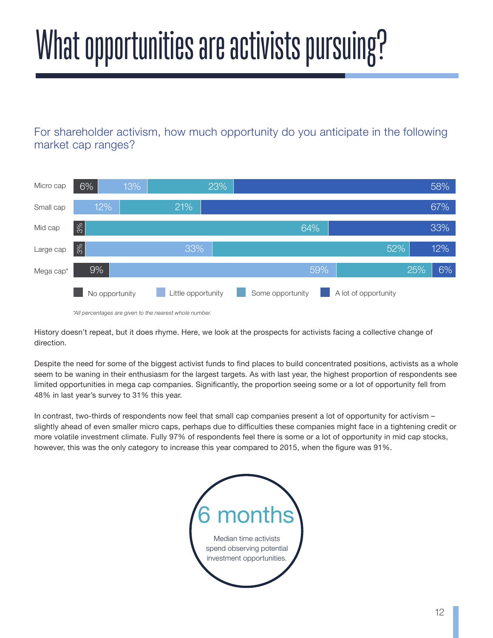# What opportunities are activists pursuing?

For shareholder activism, how much opportunity do you anticipate in the following market cap ranges?



*\*All percentages are given to the nearest whole number.*

History doesn't repeat, but it does rhyme. Here, we look at the prospects for activists facing a collective change of direction.

Despite the need for some of the biggest activist funds to find places to build concentrated positions, activists as a whole seem to be waning in their enthusiasm for the largest targets. As with last year, the highest proportion of respondents see limited opportunities in mega cap companies. Significantly, the proportion seeing some or a lot of opportunity fell from 48% in last year's survey to 31% this year.

In contrast, two-thirds of respondents now feel that small cap companies present a lot of opportunity for activism – slightly ahead of even smaller micro caps, perhaps due to difficulties these companies might face in a tightening credit or more volatile investment climate. Fully 97% of respondents feel there is some or a lot of opportunity in mid cap stocks, however, this was the only category to increase this year compared to 2015, when the figure was 91%.

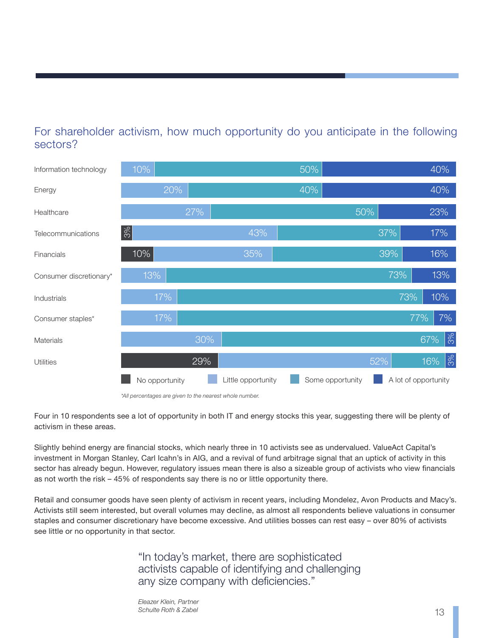#### For shareholder activism, how much opportunity do you anticipate in the following sectors?



*<sup>\*</sup>All percentages are given to the nearest whole number.*

Four in 10 respondents see a lot of opportunity in both IT and energy stocks this year, suggesting there will be plenty of activism in these areas.

Slightly behind energy are financial stocks, which nearly three in 10 activists see as undervalued. ValueAct Capital's investment in Morgan Stanley, Carl Icahn's in AIG, and a revival of fund arbitrage signal that an uptick of activity in this sector has already begun. However, regulatory issues mean there is also a sizeable group of activists who view financials as not worth the risk – 45% of respondents say there is no or little opportunity there.

Retail and consumer goods have seen plenty of activism in recent years, including Mondelez, Avon Products and Macy's. Activists still seem interested, but overall volumes may decline, as almost all respondents believe valuations in consumer staples and consumer discretionary have become excessive. And utilities bosses can rest easy – over 80% of activists see little or no opportunity in that sector.

> "In today's market, there are sophisticated activists capable of identifying and challenging any size company with deficiencies."

*Eleazer Klein, Partner Schulte Roth & Zabel* 13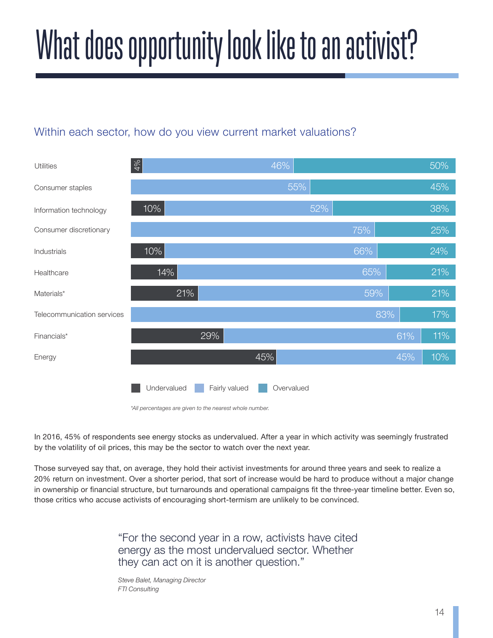# What does opportunity look like to an activist?

#### Within each sector, how do you view current market valuations?



*<sup>\*</sup>All percentages are given to the nearest whole number.*

In 2016, 45% of respondents see energy stocks as undervalued. After a year in which activity was seemingly frustrated by the volatility of oil prices, this may be the sector to watch over the next year.

Those surveyed say that, on average, they hold their activist investments for around three years and seek to realize a 20% return on investment. Over a shorter period, that sort of increase would be hard to produce without a major change in ownership or financial structure, but turnarounds and operational campaigns fit the three-year timeline better. Even so, those critics who accuse activists of encouraging short-termism are unlikely to be convinced.

> "For the second year in a row, activists have cited energy as the most undervalued sector. Whether they can act on it is another question."

*Steve Balet, Managing Director FTI Consulting*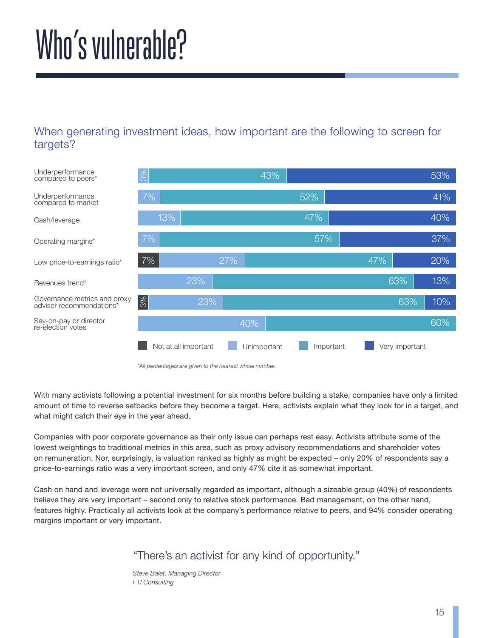### Who's vulnerable?

#### When generating investment ideas, how important are the following to screen for targets?



*\*All percentages are given to the nearest whole number.*

With many activists following a potential investment for six months before building a stake, companies have only a limited amount of time to reverse setbacks before they become a target. Here, activists explain what they look for in a target, and what might catch their eye in the year ahead.

Companies with poor corporate governance as their only issue can perhaps rest easy. Activists attribute some of the lowest weightings to traditional metrics in this area, such as proxy advisory recommendations and shareholder votes on remuneration. Nor, surprisingly, is valuation ranked as highly as might be expected – only 20% of respondents say a price-to-earnings ratio was a very important screen, and only 47% cite it as somewhat important.

Cash on hand and leverage were not universally regarded as important, although a sizeable group (40%) of respondents believe they are very important – second only to relative stock performance. Bad management, on the other hand, features highly. Practically all activists look at the company's performance relative to peers, and 94% consider operating margins important or very important.

#### "There's an activist for any kind of opportunity."

*Steve Balet, Managing Director FTI Consulting*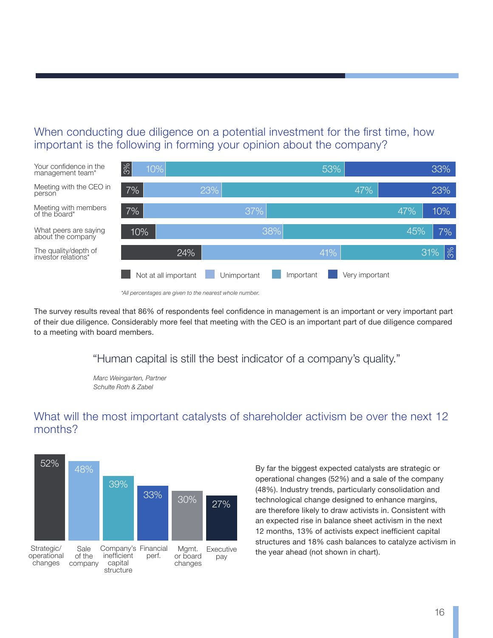When conducting due diligence on a potential investment for the first time, how important is the following in forming your opinion about the company?



*<sup>\*</sup>All percentages are given to the nearest whole number.*

The survey results reveal that 86% of respondents feel confidence in management is an important or very important part of their due diligence. Considerably more feel that meeting with the CEO is an important part of due diligence compared to a meeting with board members.

"Human capital is still the best indicator of a company's quality."

*Marc Weingarten, Partner Schulte Roth & Zabel*

#### What will the most important catalysts of shareholder activism be over the next 12 months?



By far the biggest expected catalysts are strategic or operational changes (52%) and a sale of the company (48%). Industry trends, particularly consolidation and technological change designed to enhance margins, are therefore likely to draw activists in. Consistent with an expected rise in balance sheet activism in the next 12 months, 13% of activists expect inefficient capital structures and 18% cash balances to catalyze activism in the year ahead (not shown in chart).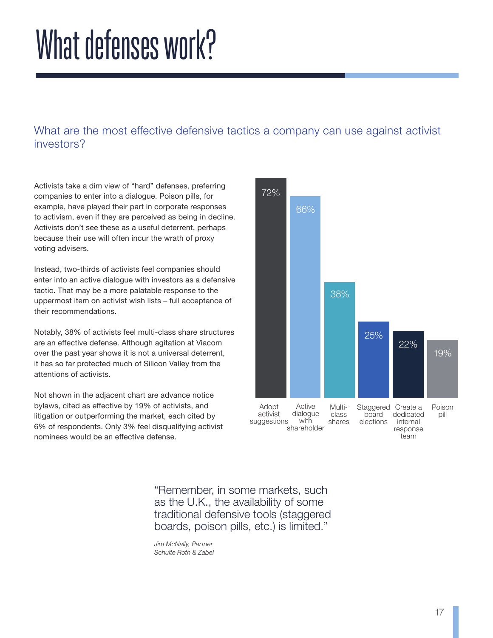### What defenses work?

What are the most effective defensive tactics a company can use against activist investors?

Activists take a dim view of "hard" defenses, preferring companies to enter into a dialogue. Poison pills, for example, have played their part in corporate responses to activism, even if they are perceived as being in decline. Activists don't see these as a useful deterrent, perhaps because their use will often incur the wrath of proxy voting advisers.

Instead, two-thirds of activists feel companies should enter into an active dialogue with investors as a defensive tactic. That may be a more palatable response to the uppermost item on activist wish lists – full acceptance of their recommendations.

Notably, 38% of activists feel multi-class share structures are an effective defense. Although agitation at Viacom over the past year shows it is not a universal deterrent, it has so far protected much of Silicon Valley from the attentions of activists.

Not shown in the adjacent chart are advance notice bylaws, cited as effective by 19% of activists, and litigation or outperforming the market, each cited by 6% of respondents. Only 3% feel disqualifying activist nominees would be an effective defense.



"Remember, in some markets, such as the U.K., the availability of some traditional defensive tools (staggered boards, poison pills, etc.) is limited."

*Jim McNally, Partner Schulte Roth & Zabel*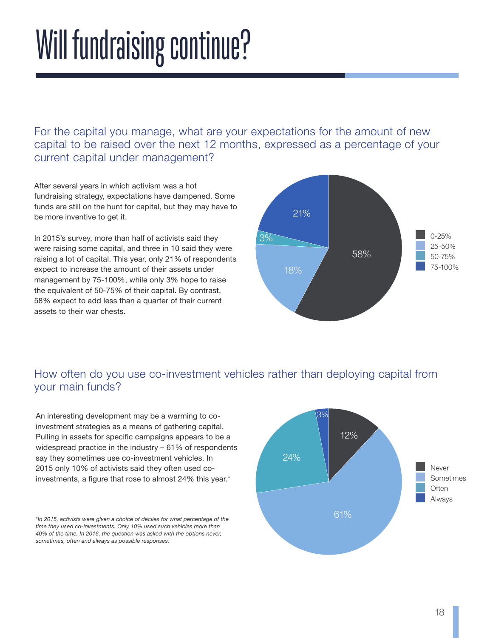## Will fundraising continue?

For the capital you manage, what are your expectations for the amount of new capital to be raised over the next 12 months, expressed as a percentage of your current capital under management?

After several years in which activism was a hot fundraising strategy, expectations have dampened. Some funds are still on the hunt for capital, but they may have to be more inventive to get it.

In 2015's survey, more than half of activists said they were raising some capital, and three in 10 said they were raising a lot of capital. This year, only 21% of respondents expect to increase the amount of their assets under management by 75-100%, while only 3% hope to raise the equivalent of 50-75% of their capital. By contrast, 58% expect to add less than a quarter of their current assets to their war chests.



#### How often do you use co-investment vehicles rather than deploying capital from your main funds?

An interesting development may be a warming to coinvestment strategies as a means of gathering capital. Pulling in assets for specific campaigns appears to be a widespread practice in the industry – 61% of respondents say they sometimes use co-investment vehicles. In 2015 only 10% of activists said they often used coinvestments, a figure that rose to almost 24% this year.\*

*\*In 2015, activists were given a choice of deciles for what percentage of the time they used co-investments. Only 10% used such vehicles more than 40% of the time. In 2016, the question was asked with the options never, sometimes, often and always as possible responses.*

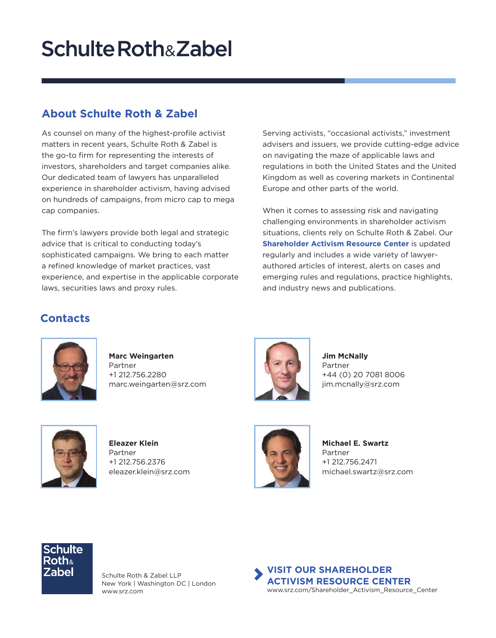### **Schulte Roth&Zabel**

#### **About Schulte Roth & Zabel**

As counsel on many of the highest-profile activist matters in recent years, Schulte Roth & Zabel is the go-to firm for representing the interests of investors, shareholders and target companies alike. Our dedicated team of lawyers has unparalleled experience in shareholder activism, having advised on hundreds of campaigns, from micro cap to mega cap companies.

The firm's lawyers provide both legal and strategic advice that is critical to conducting today's sophisticated campaigns. We bring to each matter a refined knowledge of market practices, vast experience, and expertise in the applicable corporate laws, securities laws and proxy rules.

Serving activists, "occasional activists," investment advisers and issuers, we provide cutting-edge advice on navigating the maze of applicable laws and regulations in both the United States and the United Kingdom as well as covering markets in Continental Europe and other parts of the world.

When it comes to assessing risk and navigating challenging environments in shareholder activism situations, clients rely on Schulte Roth & Zabel. Our **[Shareholder Activism Resource Center](https://www.srz.com/resources/emerging-issues/shareholder-activism-resource-center.html)** is updated regularly and includes a wide variety of lawyerauthored articles of interest, alerts on cases and emerging rules and regulations, practice highlights, and industry news and publications.

#### **Contacts**



**[Marc Weingarten](https://www.srz.com/lawyers/marc-weingarten.html)** Partner +1 212.756.2280 marc.weingarten@srz.com



**[Jim McNally](https://www.srz.com/lawyers/jim-mcnally.html)** Partner +44 (0) 20 7081 8006 jim.mcnally@srz.com



**[Eleazer Klein](https://www.srz.com/lawyers/eleazer-klein.html)** Partner +1 212.756.2376 eleazer.klein@srz.com



**[Michael E. Swartz](https://www.srz.com/lawyers/michael-e-swartz.html)** Partner +1 212.756.2471 michael.swartz@srz.com



Schulte Roth & Zabel LLP New York | Washington DC | London [www.srz.com](http://www.srz.com)

**[VISIT OUR SHAREHOLDER](http://www.srz.com/Shareholder_Activism_Resource_Center)  [ACTIVISM RESOURCE CENTER](http://www.srz.com/Shareholder_Activism_Resource_Center)** www.srz.com/Shareholder\_Activism\_Resource\_Center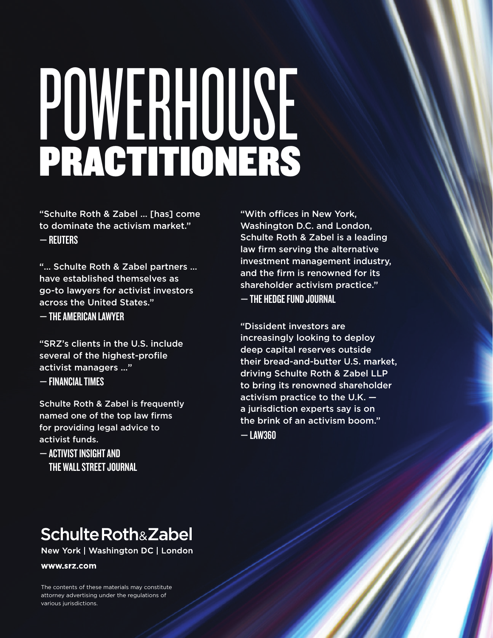# POWERHOUSE PRACTITIONERS

"Schulte Roth & Zabel … [has] come to dominate the activism market." — REUTERS

"… Schulte Roth & Zabel partners … have established themselves as go-to lawyers for activist investors across the United States."

— THE AMERICAN LAWYER

"SRZ's clients in the U.S. include several of the highest-profile activist managers …" — FINANCIAL TIMES

Schulte Roth & Zabel is frequently named one of the top law firms for providing legal advice to activist funds.

— ACTIVIST INSIGHT AND THE WALL STREET JOURNAL

"With offices in New York, Washington D.C. and London, Schulte Roth & Zabel is a leading law firm serving the alternative investment management industry, and the firm is renowned for its shareholder activism practice." — THE HEDGE FUND JOURNAL

"Dissident investors are increasingly looking to deploy deep capital reserves outside their bread-and-butter U.S. market, driving Schulte Roth & Zabel LLP to bring its renowned shareholder activism practice to the U.K. a jurisdiction experts say is on the brink of an activism boom."  $-$  Law360

### **Schulte Roth&Zabel**

New York | Washington DC | London

www.srz.com

The contents of these materials may constitute attorney advertising under the regulations of various jurisdictions.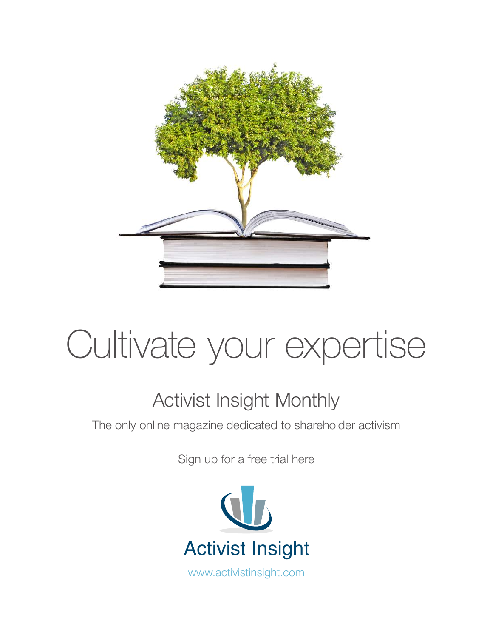

### [Cultivate your expertise](http://www.activistinsight.com/ActivismMonthly)

### Activist Insight Monthly

[The only online magazine dedicated to shareholder activism](http://http://www.activistinsight.com/ActivismMonthly.aspx)

Sign up for a free trial here



[www.activistinsight.com](http://www.activistinsight.com)